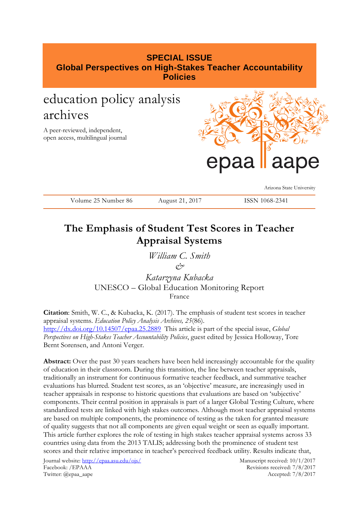## **SPECIAL ISSUE Global Perspectives on High-Stakes Teacher Accountability Policies**

# education policy analysis archives

A peer-reviewed, independent, open access, multilingual journal



Arizona State University

| Volume 25 Number 86 | August 21, 2017 | ISSN 1068-2341 |
|---------------------|-----------------|----------------|
|---------------------|-----------------|----------------|

# **The Emphasis of Student Test Scores in Teacher Appraisal Systems**

*William C. Smith &*

*Katarzyna Kubacka* UNESCO – Global Education Monitoring Report France

**Citation**: Smith, W. C., & Kubacka, K. (2017). The emphasis of student test scores in teacher appraisal systems. *Education Policy Analysis Archives, 25*(86). <http://dx.doi.org/10.14507/epaa.25.2889>This article is part of the special issue, *Global Perspectives on High-Stakes Teacher Accountability Policies*, guest edited by Jessica Holloway, Tore Bernt Sorensen, and Antoni Verger.

**Abstract:** Over the past 30 years teachers have been held increasingly accountable for the quality of education in their classroom. During this transition, the line between teacher appraisals, traditionally an instrument for continuous formative teacher feedback, and summative teacher evaluations has blurred. Student test scores, as an 'objective' measure, are increasingly used in teacher appraisals in response to historic questions that evaluations are based on 'subjective' components. Their central position in appraisals is part of a larger Global Testing Culture, where standardized tests are linked with high stakes outcomes. Although most teacher appraisal systems are based on multiple components, the prominence of testing as the taken for granted measure of quality suggests that not all components are given equal weight or seen as equally important. This article further explores the role of testing in high stakes teacher appraisal systems across 33 countries using data from the 2013 TALIS; addressing both the prominence of student test scores and their relative importance in teacher's perceived feedback utility. Results indicate that,

Journal website:<http://epaa.asu.edu/ojs/> Manuscript received: 10/1/2017 Facebook: /EPAAA Revisions received: 7/8/2017 Twitter: @epaa\_aape Accepted: 7/8/2017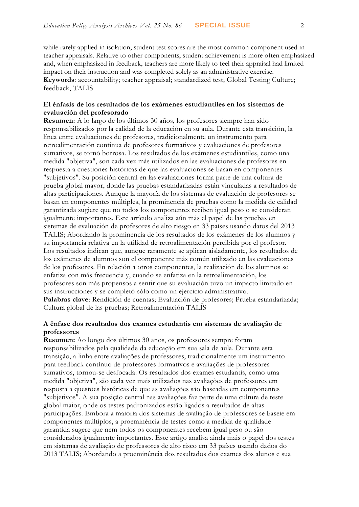while rarely applied in isolation, student test scores are the most common component used in teacher appraisals. Relative to other components, student achievement is more often emphasized and, when emphasized in feedback, teachers are more likely to feel their appraisal had limited impact on their instruction and was completed solely as an administrative exercise. **Keywords**: accountability; teacher appraisal; standardized test; Global Testing Culture; feedback, TALIS

### **El énfasis de los resultados de los exámenes estudiantiles en los sistemas de evaluación del profesorado**

**Resumen:** A lo largo de los últimos 30 años, los profesores siempre han sido responsabilizados por la calidad de la educación en su aula. Durante esta transición, la línea entre evaluaciones de profesores, tradicionalmente un instrumento para retroalimentación continua de profesores formativos y evaluaciones de profesores sumativos, se tornó borrosa. Los resultados de los exámenes estudiantiles, como una medida "objetiva", son cada vez más utilizados en las evaluaciones de profesores en respuesta a cuestiones históricas de que las evaluaciones se basan en componentes "subjetivos". Su posición central en las evaluaciones forma parte de una cultura de prueba global mayor, donde las pruebas estandarizadas están vinculadas a resultados de altas participaciones. Aunque la mayoría de los sistemas de evaluación de profesores se basan en componentes múltiples, la prominencia de pruebas como la medida de calidad garantizada sugiere que no todos los componentes reciben igual peso o se consideran igualmente importantes. Este artículo analiza aún más el papel de las pruebas en sistemas de evaluación de profesores de alto riesgo en 33 países usando datos del 2013 TALIS; Abordando la prominencia de los resultados de los exámenes de los alumnos y su importancia relativa en la utilidad de retroalimentación percibida por el profesor. Los resultados indican que, aunque raramente se aplican aisladamente, los resultados de los exámenes de alumnos son el componente más común utilizado en las evaluaciones de los profesores. En relación a otros componentes, la realización de los alumnos se enfatiza con más frecuencia y, cuando se enfatiza en la retroalimentación, los profesores son más propensos a sentir que su evaluación tuvo un impacto limitado en sus instrucciones y se completó sólo como un ejercicio administrativo. **Palabras clave**: Rendición de cuentas; Evaluación de profesores; Prueba estandarizada; Cultura global de las pruebas; Retroalimentación TALIS

### **A ênfase dos resultados dos exames estudantis em sistemas de avaliação de professores**

**Resumen:** Ao longo dos últimos 30 anos, os professores sempre foram responsabilizados pela qualidade da educação em sua sala de aula. Durante esta transição, a linha entre avaliações de professores, tradicionalmente um instrumento para feedback contínuo de professores formativos e avaliações de professores sumativos, tornou-se desfocada. Os resultados dos exames estudantis, como uma medida "objetiva", são cada vez mais utilizados nas avaliações de professores em resposta a questões históricas de que as avaliações são baseadas em componentes "subjetivos". A sua posição central nas avaliações faz parte de uma cultura de teste global maior, onde os testes padronizados estão ligados a resultados de altas participações. Embora a maioria dos sistemas de avaliação de professores se baseie em componentes múltiplos, a proeminência de testes como a medida de qualidade garantida sugere que nem todos os componentes recebem igual peso ou são considerados igualmente importantes. Este artigo analisa ainda mais o papel dos testes em sistemas de avaliação de professores de alto risco em 33 países usando dados do 2013 TALIS; Abordando a proeminência dos resultados dos exames dos alunos e sua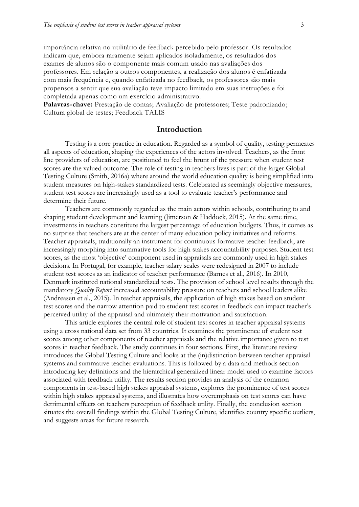importância relativa no utilitário de feedback percebido pelo professor. Os resultados indicam que, embora raramente sejam aplicados isoladamente, os resultados dos exames de alunos são o componente mais comum usado nas avaliações dos professores. Em relação a outros componentes, a realização dos alunos é enfatizada com mais frequência e, quando enfatizada no feedback, os professores são mais propensos a sentir que sua avaliação teve impacto limitado em suas instruções e foi completada apenas como um exercício administrativo.

**Palavras-chave:** Prestação de contas; Avaliação de professores; Teste padronizado; Cultura global de testes; Feedback TALIS

### **Introduction**

Testing is a core practice in education. Regarded as a symbol of quality, testing permeates all aspects of education, shaping the experiences of the actors involved. Teachers, as the front line providers of education, are positioned to feel the brunt of the pressure when student test scores are the valued outcome. The role of testing in teachers lives is part of the larger Global Testing Culture (Smith, 2016a) where around the world education quality is being simplified into student measures on high-stakes standardized tests. Celebrated as seemingly objective measures, student test scores are increasingly used as a tool to evaluate teacher's performance and determine their future.

Teachers are commonly regarded as the main actors within schools, contributing to and shaping student development and learning (Jimerson & Haddock, 2015). At the same time, investments in teachers constitute the largest percentage of education budgets. Thus, it comes as no surprise that teachers are at the center of many education policy initiatives and reforms. Teacher appraisals, traditionally an instrument for continuous formative teacher feedback, are increasingly morphing into summative tools for high stakes accountability purposes. Student test scores, as the most 'objective' component used in appraisals are commonly used in high stakes decisions. In Portugal, for example, teacher salary scales were redesigned in 2007 to include student test scores as an indicator of teacher performance (Barnes et al., 2016). In 2010, Denmark instituted national standardized tests. The provision of school level results through the mandatory *Quality Report* increased accountability pressure on teachers and school leaders alike (Andreasen et al., 2015). In teacher appraisals, the application of high stakes based on student test scores and the narrow attention paid to student test scores in feedback can impact teacher's perceived utility of the appraisal and ultimately their motivation and satisfaction.

This article explores the central role of student test scores in teacher appraisal systems using a cross national data set from 33 countries. It examines the prominence of student test scores among other components of teacher appraisals and the relative importance given to test scores in teacher feedback. The study continues in four sections. First, the literature review introduces the Global Testing Culture and looks at the (in)distinction between teacher appraisal systems and summative teacher evaluations. This is followed by a data and methods section introducing key definitions and the hierarchical generalized linear model used to examine factors associated with feedback utility. The results section provides an analysis of the common components in test-based high stakes appraisal systems, explores the prominence of test scores within high stakes appraisal systems, and illustrates how overemphasis on test scores can have detrimental effects on teachers perception of feedback utility. Finally, the conclusion section situates the overall findings within the Global Testing Culture, identifies country specific outliers, and suggests areas for future research.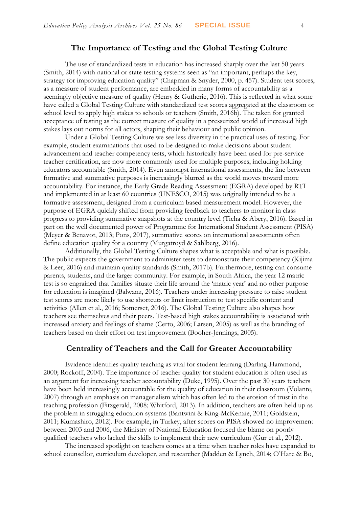### **The Importance of Testing and the Global Testing Culture**

The use of standardized tests in education has increased sharply over the last 50 years (Smith, 2014) with national or state testing systems seen as "an important, perhaps the key, strategy for improving education quality" (Chapman & Snyder, 2000, p. 457). Student test scores, as a measure of student performance, are embedded in many forms of accountability as a seemingly objective measure of quality (Henry & Gutherie, 2016). This is reflected in what some have called a Global Testing Culture with standardized test scores aggregated at the classroom or school level to apply high stakes to schools or teachers (Smith, 2016b). The taken for granted acceptance of testing as the correct measure of quality in a pressurized world of increased high stakes lays out norms for all actors, shaping their behaviour and public opinion.

Under a Global Testing Culture we see less diversity in the practical uses of testing. For example, student examinations that used to be designed to make decisions about student advancement and teacher competency tests, which historically have been used for pre-service teacher certification, are now more commonly used for multiple purposes, including holding educators accountable (Smith, 2014). Even amongst international assessments, the line between formative and summative purposes is increasingly blurred as the world moves toward more accountability. For instance, the Early Grade Reading Assessment (EGRA) developed by RTI and implemented in at least 60 countries (UNESCO, 2015) was originally intended to be a formative assessment, designed from a curriculum based measurement model. However, the purpose of EGRA quickly shifted from providing feedback to teachers to monitor in class progress to providing summative snapshots at the country level (Ticha & Abery, 2016). Based in part on the well documented power of Programme for International Student Assessment (PISA) (Meyer & Benavot, 2013; Pons, 2017), summative scores on international assessments often define education quality for a country (Murgatroyd & Sahlberg, 2016).

Additionally, the Global Testing Culture shapes what is acceptable and what is possible. The public expects the government to administer tests to demonstrate their competency (Kijima & Leer, 2016) and maintain quality standards (Smith, 2017b). Furthermore, testing can consume parents, students, and the larger community. For example, in South Africa, the year 12 matric test is so engrained that families situate their life around the 'matric year' and no other purpose for education is imagined (Balwanz, 2016). Teachers under increasing pressure to raise student test scores are more likely to use shortcuts or limit instruction to test specific content and activities (Allen et al., 2016; Somerset, 2016). The Global Testing Culture also shapes how teachers see themselves and their peers. Test-based high stakes accountability is associated with increased anxiety and feelings of shame (Certo, 2006; Larsen, 2005) as well as the branding of teachers based on their effort on test improvement (Booher-Jennings, 2005).

### **Centrality of Teachers and the Call for Greater Accountability**

Evidence identifies quality teaching as vital for student learning (Darling-Hammond, 2000; Rockoff, 2004). The importance of teacher quality for student education is often used as an argument for increasing teacher accountability (Duke, 1995). Over the past 30 years teachers have been held increasingly accountable for the quality of education in their classroom (Volante, 2007) through an emphasis on managerialism which has often led to the erosion of trust in the teaching profession (Fitzgerald, 2008; Whitford, 2013). In addition, teachers are often held up as the problem in struggling education systems (Bantwini & King-McKenzie, 2011; Goldstein, 2011; Kumashiro, 2012). For example, in Turkey, after scores on PISA showed no improvement between 2003 and 2006, the Ministry of National Education focused the blame on poorly qualified teachers who lacked the skills to implement their new curriculum (Gur et al., 2012).

The increased spotlight on teachers comes at a time when teacher roles have expanded to school counsellor, curriculum developer, and researcher (Madden & Lynch, 2014; O'Hare & Bo,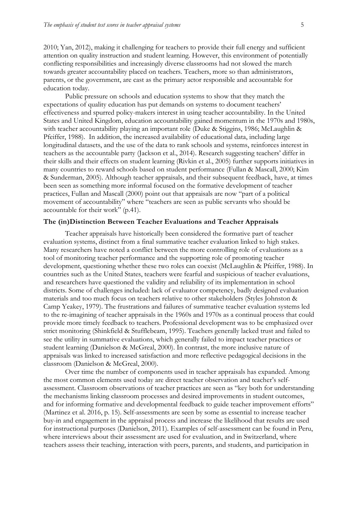2010; Yan, 2012), making it challenging for teachers to provide their full energy and sufficient attention on quality instruction and student learning. However, this environment of potentially conflicting responsibilities and increasingly diverse classrooms had not slowed the march towards greater accountability placed on teachers. Teachers, more so than administrators, parents, or the government, are cast as the primary actor responsible and accountable for education today.

Public pressure on schools and education systems to show that they match the expectations of quality education has put demands on systems to document teachers' effectiveness and spurred policy-makers interest in using teacher accountability. In the United States and United Kingdom, education accountability gained momentum in the 1970s and 1980s, with teacher accountability playing an important role (Duke & Stiggins, 1986; McLaughlin & Pfeiffer, 1988). In addition, the increased availability of educational data, including large longitudinal datasets, and the use of the data to rank schools and systems, reinforces interest in teachers as the accountable party (Jackson et al., 2014). Research suggesting teachers' differ in their skills and their effects on student learning (Rivkin et al., 2005) further supports initiatives in many countries to reward schools based on student performance (Fullan & Mascall, 2000; Kim & Sunderman, 2005). Although teacher appraisals, and their subsequent feedback, have, at times been seen as something more informal focused on the formative development of teacher practices, Fullan and Mascall (2000) point out that appraisals are now "part of a political movement of accountability" where "teachers are seen as public servants who should be accountable for their work" (p.41).

### **The (in)Distinction Between Teacher Evaluations and Teacher Appraisals**

Teacher appraisals have historically been considered the formative part of teacher evaluation systems, distinct from a final summative teacher evaluation linked to high stakes. Many researchers have noted a conflict between the more controlling role of evaluations as a tool of monitoring teacher performance and the supporting role of promoting teacher development, questioning whether these two roles can coexist (McLaughlin & Pfeiffer, 1988). In countries such as the United States, teachers were fearful and suspicious of teacher evaluations, and researchers have questioned the validity and reliability of its implementation in school districts. Some of challenges included: lack of evaluator competency, badly designed evaluation materials and too much focus on teachers relative to other stakeholders (Styles Johnston & Camp Yeakey, 1979). The frustrations and failures of summative teacher evaluation systems led to the re-imagining of teacher appraisals in the 1960s and 1970s as a continual process that could provide more timely feedback to teachers. Professional development was to be emphasized over strict monitoring (Shinkfield & Stufflebeam, 1995). Teachers generally lacked trust and failed to see the utility in summative evaluations, which generally failed to impact teacher practices or student learning (Danielson & McGreal, 2000). In contrast, the more inclusive nature of appraisals was linked to increased satisfaction and more reflective pedagogical decisions in the classroom (Danielson & McGreal, 2000).

Over time the number of components used in teacher appraisals has expanded. Among the most common elements used today are direct teacher observation and teacher's selfassessment. Classroom observations of teacher practices are seen as "key both for understanding the mechanisms linking classroom processes and desired improvements in student outcomes, and for informing formative and developmental feedback to guide teacher improvement efforts" (Martinez et al. 2016, p. 15). Self-assessments are seen by some as essential to increase teacher buy-in and engagement in the appraisal process and increase the likelihood that results are used for instructional purposes (Danielson, 2011). Examples of self-assessment can be found in Peru, where interviews about their assessment are used for evaluation, and in Switzerland, where teachers assess their teaching, interaction with peers, parents, and students, and participation in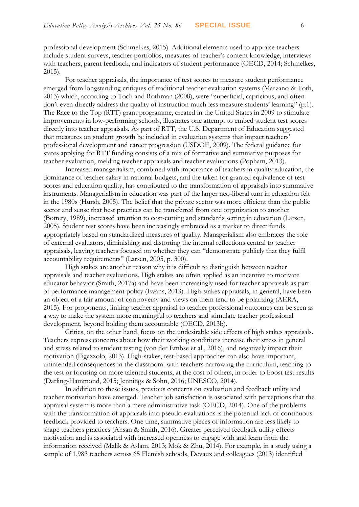professional development (Schmelkes, 2015). Additional elements used to appraise teachers include student surveys, teacher portfolios, measures of teacher's content knowledge, interviews with teachers, parent feedback, and indicators of student performance (OECD, 2014; Schmelkes, 2015).

For teacher appraisals, the importance of test scores to measure student performance emerged from longstanding critiques of traditional teacher evaluation systems (Marzano & Toth, 2013) which, according to Toch and Rothman (2008), were "superficial, capricious, and often don't even directly address the quality of instruction much less measure students' learning" (p.1). The Race to the Top (RTT) grant programme, created in the United States in 2009 to stimulate improvements in low-performing schools, illustrates one attempt to embed student test scores directly into teacher appraisals. As part of RTT, the U.S. Department of Education suggested that measures on student growth be included in evaluation systems that impact teachers' professional development and career progression (USDOE, 2009). The federal guidance for states applying for RTT funding consists of a mix of formative and summative purposes for teacher evaluation, melding teacher appraisals and teacher evaluations (Popham, 2013).

Increased managerialism, combined with importance of teachers in quality education, the dominance of teacher salary in national budgets, and the taken for granted equivalence of test scores and education quality, has contributed to the transformation of appraisals into summative instruments. Managerialism in education was part of the larger neo-liberal turn in education felt in the 1980s (Hursh, 2005). The belief that the private sector was more efficient than the public sector and sense that best practices can be transferred from one organization to another (Bottery, 1989), increased attention to cost-cutting and standards setting in education (Larsen, 2005). Student test scores have been increasingly embraced as a marker to direct funds appropriately based on standardized measures of quality. Managerialism also embraces the role of external evaluators, diminishing and distorting the internal reflections central to teacher appraisals, leaving teachers focused on whether they can "demonstrate publicly that they fulfil accountability requirements" (Larsen, 2005, p. 300).

High stakes are another reason why it is difficult to distinguish between teacher appraisals and teacher evaluations. High stakes are often applied as an incentive to motivate educator behavior (Smith, 2017a) and have been increasingly used for teacher appraisals as part of performance management policy (Evans, 2013). High-stakes appraisals, in general, have been an object of a fair amount of controversy and views on them tend to be polarizing (AERA, 2015). For proponents, linking teacher appraisal to teacher professional outcomes can be seen as a way to make the system more meaningful to teachers and stimulate teacher professional development, beyond holding them accountable (OECD, 2013b).

Critics, on the other hand, focus on the undesirable side effects of high stakes appraisals. Teachers express concerns about how their working conditions increase their stress in general and stress related to student testing (von der Embse et al., 2016), and negatively impact their motivation (Figazzolo, 2013). High-stakes, test-based approaches can also have important, unintended consequences in the classroom: with teachers narrowing the curriculum, teaching to the test or focusing on more talented students, at the cost of others, in order to boost test results (Darling-Hammond, 2015; Jennings & Sohn, 2016; UNESCO, 2014).

In addition to these issues, previous concerns on evaluation and feedback utility and teacher motivation have emerged. Teacher job satisfaction is associated with perceptions that the appraisal system is more than a mere administrative task (OECD, 2014). One of the problems with the transformation of appraisals into pseudo-evaluations is the potential lack of continuous feedback provided to teachers. One time, summative pieces of information are less likely to shape teachers practices (Ahsan & Smith, 2016). Greater perceived feedback utility effects motivation and is associated with increased openness to engage with and learn from the information received (Malik & Aslam, 2013; Mok & Zhu, 2014). For example, in a study using a sample of 1,983 teachers across 65 Flemish schools, Devaux and colleagues (2013) identified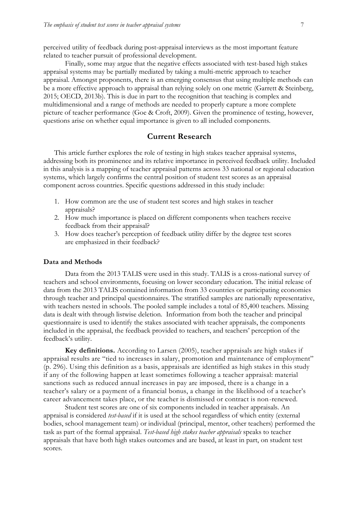perceived utility of feedback during post-appraisal interviews as the most important feature related to teacher pursuit of professional development.

Finally, some may argue that the negative effects associated with test-based high stakes appraisal systems may be partially mediated by taking a multi-metric approach to teacher appraisal. Amongst proponents, there is an emerging consensus that using multiple methods can be a more effective approach to appraisal than relying solely on one metric (Garrett & Steinberg, 2015; OECD, 2013b). This is due in part to the recognition that teaching is complex and multidimensional and a range of methods are needed to properly capture a more complete picture of teacher performance (Goe & Croft, 2009). Given the prominence of testing, however, questions arise on whether equal importance is given to all included components.

## **Current Research**

This article further explores the role of testing in high stakes teacher appraisal systems, addressing both its prominence and its relative importance in perceived feedback utility. Included in this analysis is a mapping of teacher appraisal patterns across 33 national or regional education systems, which largely confirms the central position of student test scores as an appraisal component across countries. Specific questions addressed in this study include:

- 1. How common are the use of student test scores and high stakes in teacher appraisals?
- 2. How much importance is placed on different components when teachers receive feedback from their appraisal?
- 3. How does teacher's perception of feedback utility differ by the degree test scores are emphasized in their feedback?

#### **Data and Methods**

Data from the 2013 TALIS were used in this study. TALIS is a cross-national survey of teachers and school environments, focusing on lower secondary education. The initial release of data from the 2013 TALIS contained information from 33 countries or participating economies through teacher and principal questionnaires. The stratified samples are nationally representative, with teachers nested in schools. The pooled sample includes a total of 85,400 teachers. Missing data is dealt with through listwise deletion. Information from both the teacher and principal questionnaire is used to identify the stakes associated with teacher appraisals, the components included in the appraisal, the feedback provided to teachers, and teachers' perception of the feedback's utility.

**Key definitions.** According to Larsen (2005), teacher appraisals are high stakes if appraisal results are "tied to increases in salary, promotion and maintenance of employment" (p. 296). Using this definition as a basis, appraisals are identified as high stakes in this study if any of the following happen at least sometimes following a teacher appraisal: material sanctions such as reduced annual increases in pay are imposed, there is a change in a teacher's salary or a payment of a financial bonus, a change in the likelihood of a teacher's career advancement takes place, or the teacher is dismissed or contract is non-renewed.

Student test scores are one of six components included in teacher appraisals. An appraisal is considered *test-based* if it is used at the school regardless of which entity (external bodies, school management team) or individual (principal, mentor, other teachers) performed the task as part of the formal appraisal. *Test-based high stakes teacher appraisals* speaks to teacher appraisals that have both high stakes outcomes and are based, at least in part, on student test scores.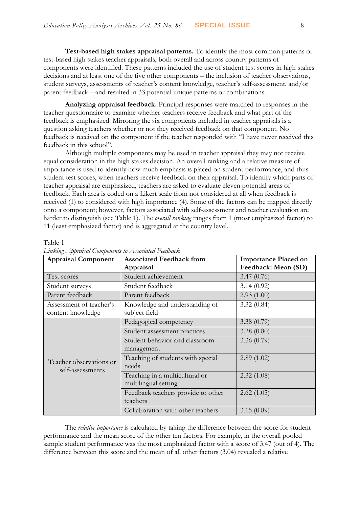**Test-based high stakes appraisal patterns.** To identify the most common patterns of test-based high stakes teacher appraisals, both overall and across country patterns of components were identified. These patterns included the use of student test scores in high stakes decisions and at least one of the five other components – the inclusion of teacher observations, student surveys, assessments of teacher's content knowledge, teacher's self-assessment, and/or parent feedback – and resulted in 33 potential unique patterns or combinations.

**Analyzing appraisal feedback.** Principal responses were matched to responses in the teacher questionnaire to examine whether teachers receive feedback and what part of the feedback is emphasized. Mirroring the six components included in teacher appraisals is a question asking teachers whether or not they received feedback on that component. No feedback is received on the component if the teacher responded with "I have never received this feedback in this school".

Although multiple components may be used in teacher appraisal they may not receive equal consideration in the high stakes decision. An overall ranking and a relative measure of importance is used to identify how much emphasis is placed on student performance, and thus student test scores, when teachers receive feedback on their appraisal. To identify which parts of teacher appraisal are emphasized, teachers are asked to evaluate eleven potential areas of feedback. Each area is coded on a Likert scale from not considered at all when feedback is received (1) to considered with high importance (4). Some of the factors can be mapped directly onto a component; however, factors associated with self-assessment and teacher evaluation are harder to distinguish (see Table 1). The *overall ranking* ranges from 1 (most emphasized factor) to 11 (least emphasized factor) and is aggregated at the country level.

| $L$ <i>arri</i> sing 2 $1$ ppransan Components to 2 $1$ ssociation 1 contouris<br><b>Appraisal Component</b> | <b>Associated Feedback from</b>                 | <b>Importance Placed on</b> |
|--------------------------------------------------------------------------------------------------------------|-------------------------------------------------|-----------------------------|
|                                                                                                              | Appraisal                                       | Feedback: Mean (SD)         |
| Test scores                                                                                                  | Student achievement                             | 3.47(0.76)                  |
| Student surveys                                                                                              | Student feedback                                | 3.14(0.92)                  |
| Parent feedback                                                                                              | Parent feedback                                 | 2.93(1.00)                  |
| Assessment of teacher's<br>content knowledge                                                                 | Knowledge and understanding of<br>subject field | 3.32(0.84)                  |
|                                                                                                              | Pedagogical competency                          | 3.38(0.79)                  |
|                                                                                                              | Student assessment practices                    | 3.28(0.80)                  |
|                                                                                                              | Student behavior and classroom                  | 3.36 $(0.79)$               |
|                                                                                                              | management                                      |                             |
| Teacher observations or                                                                                      | Teaching of students with special               | 2.89(1.02)                  |
| self-assessments                                                                                             | needs                                           |                             |
|                                                                                                              | Teaching in a multicultural or                  | 2.32(1.08)                  |
|                                                                                                              | multilingual setting                            |                             |
|                                                                                                              | Feedback teachers provide to other              | 2.62(1.05)                  |
|                                                                                                              | teachers                                        |                             |
|                                                                                                              | Collaboration with other teachers               | 3.15(0.89)                  |

### *Linking Appraisal Components to Associated Feedback*

Table 1

The *relative importance* is calculated by taking the difference between the score for student performance and the mean score of the other ten factors. For example, in the overall pooled sample student performance was the most emphasized factor with a score of 3.47 (out of 4). The difference between this score and the mean of all other factors (3.04) revealed a relative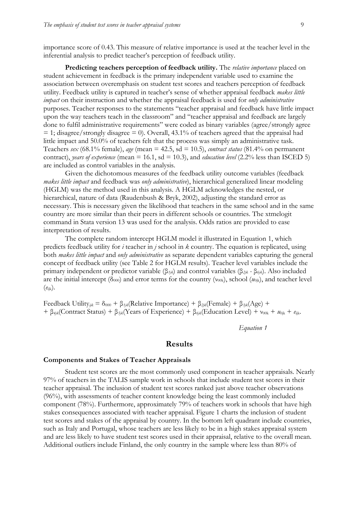importance score of 0.43. This measure of relative importance is used at the teacher level in the inferential analysis to predict teacher's perception of feedback utility.

**Predicting teachers perception of feedback utility.** The *relative importance* placed on student achievement in feedback is the primary independent variable used to examine the association between overemphasis on student test scores and teachers perception of feedback utility. Feedback utility is captured in teacher's sense of whether appraisal feedback *makes little impact* on their instruction and whether the appraisal feedback is used for *only administrative* purposes. Teacher responses to the statements "teacher appraisal and feedback have little impact upon the way teachers teach in the classroom" and "teacher appraisal and feedback are largely done to fulfil administrative requirements" were coded as binary variables (agree/strongly agree  $= 1$ ; disagree/strongly disagree  $= 0$ ). Overall, 43.1% of teachers agreed that the appraisal had little impact and 50.0% of teachers felt that the process was simply an administrative task. Teachers *sex* (68.1% female), *age* (mean = 42.5, sd = 10.5), *contract status* (81.4% on permanent contract), *years of experience* (mean  $= 16.1$ , sd  $= 10.3$ ), and *education level* (2.2% less than ISCED 5) are included as control variables in the analysis.

Given the dichotomous measures of the feedback utility outcome variables (feedback *makes little impact* and feedback was *only administrative*), hierarchical generalized linear modeling (HGLM) was the method used in this analysis. A HGLM acknowledges the nested, or hierarchical, nature of data (Raudenbush & Bryk, 2002), adjusting the standard error as necessary. This is necessary given the likelihood that teachers in the same school and in the same country are more similar than their peers in different schools or countries. The xtmelogit command in Stata version 13 was used for the analysis. Odds ratios are provided to ease interpretation of results.

The complete random intercept HGLM model it illustrated in Equation 1, which predicts feedback utility for *i* teacher in *j* school in *k* country. The equation is replicated, using both *makes little impact* and *only administrative* as separate dependent variables capturing the general concept of feedback utility (see Table 2 for HGLM results). Teacher level variables include the primary independent or predictor variable (β*1jk*) and control variables (β*2jk -* β*6jk*). Also included are the initial intercept ( $\delta_{000}$ ) and error terms for the country ( $v_{00k}$ ), school ( $u_{0jk}$ ), and teacher level (*e*ijk).

Feedback Utility<sub>ijk</sub> =  $\delta_{000}$  + β<sub>*1jk*</sub>(Relative Importance) + β<sub>2jk</sub>(Female) + β<sub>3jk</sub>(Age) + + β<sub>4jk</sub>(Contract Status) + β<sub>5jk</sub>(Years of Experience) + β<sub>6jk</sub>(Education Level) + ν<sub>00k</sub> + μ<sub>0jk</sub> + <sub>ε<sub>ijk</sub>.</sub>

*Equation 1*

### **Results**

#### **Components and Stakes of Teacher Appraisals**

Student test scores are the most commonly used component in teacher appraisals. Nearly 97% of teachers in the TALIS sample work in schools that include student test scores in their teacher appraisal. The inclusion of student test scores ranked just above teacher observations (96%), with assessments of teacher content knowledge being the least commonly included component (78%). Furthermore, approximately 79% of teachers work in schools that have high stakes consequences associated with teacher appraisal. Figure 1 charts the inclusion of student test scores and stakes of the appraisal by country. In the bottom left quadrant include countries, such as Italy and Portugal, whose teachers are less likely to be in a high stakes appraisal system and are less likely to have student test scores used in their appraisal, relative to the overall mean. Additional outliers include Finland, the only country in the sample where less than 80% of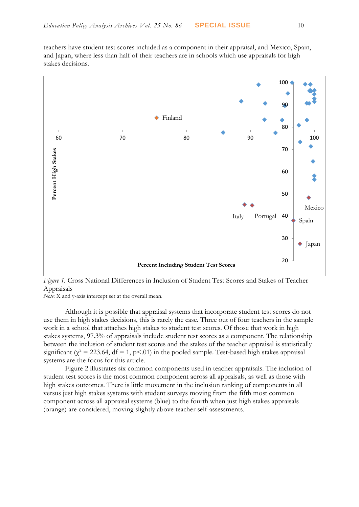teachers have student test scores included as a component in their appraisal, and Mexico, Spain, and Japan, where less than half of their teachers are in schools which use appraisals for high stakes decisions.



*Figure 1.* Cross National Differences in Inclusion of Student Test Scores and Stakes of Teacher Appraisals

*Note*: X and y-axis intercept set at the overall mean.

Although it is possible that appraisal systems that incorporate student test scores do not use them in high stakes decisions, this is rarely the case. Three out of four teachers in the sample work in a school that attaches high stakes to student test scores. Of those that work in high stakes systems, 97.3% of appraisals include student test scores as a component. The relationship between the inclusion of student test scores and the stakes of the teacher appraisal is statistically significant ( $\chi^2$  = 223.64, df = 1, p<.01) in the pooled sample. Test-based high stakes appraisal systems are the focus for this article.

Figure 2 illustrates six common components used in teacher appraisals. The inclusion of student test scores is the most common component across all appraisals, as well as those with high stakes outcomes. There is little movement in the inclusion ranking of components in all versus just high stakes systems with student surveys moving from the fifth most common component across all appraisal systems (blue) to the fourth when just high stakes appraisals (orange) are considered, moving slightly above teacher self-assessments.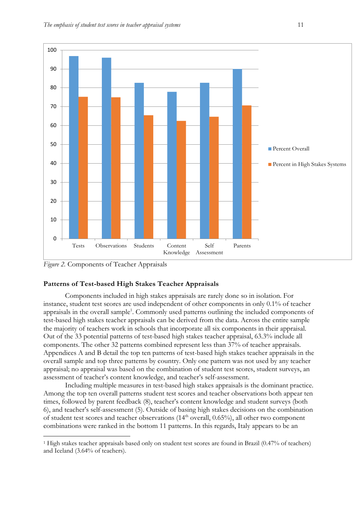

*Figure 2.* Components of Teacher Appraisals

<u>.</u>

### **Patterns of Test-based High Stakes Teacher Appraisals**

Components included in high stakes appraisals are rarely done so in isolation. For instance, student test scores are used independent of other components in only 0.1% of teacher appraisals in the overall sample<sup>1</sup>. Commonly used patterns outlining the included components of test-based high stakes teacher appraisals can be derived from the data. Across the entire sample the majority of teachers work in schools that incorporate all six components in their appraisal. Out of the 33 potential patterns of test-based high stakes teacher appraisal, 63.3% include all components. The other 32 patterns combined represent less than 37% of teacher appraisals. Appendices A and B detail the top ten patterns of test-based high stakes teacher appraisals in the overall sample and top three patterns by country. Only one pattern was not used by any teacher appraisal; no appraisal was based on the combination of student test scores, student surveys, an assessment of teacher's content knowledge, and teacher's self-assessment.

Including multiple measures in test-based high stakes appraisals is the dominant practice. Among the top ten overall patterns student test scores and teacher observations both appear ten times, followed by parent feedback (8), teacher's content knowledge and student surveys (both 6), and teacher's self-assessment (5). Outside of basing high stakes decisions on the combination of student test scores and teacher observations  $(14<sup>th</sup> overall, 0.65%)$ , all other two component combinations were ranked in the bottom 11 patterns. In this regards, Italy appears to be an

<sup>1</sup> High stakes teacher appraisals based only on student test scores are found in Brazil (0.47% of teachers) and Iceland (3.64% of teachers).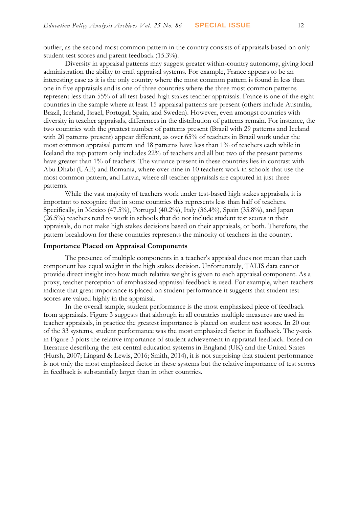outlier, as the second most common pattern in the country consists of appraisals based on only student test scores and parent feedback (15.3%).

Diversity in appraisal patterns may suggest greater within-country autonomy, giving local administration the ability to craft appraisal systems. For example, France appears to be an interesting case as it is the only country where the most common pattern is found in less than one in five appraisals and is one of three countries where the three most common patterns represent less than 55% of all test-based high stakes teacher appraisals. France is one of the eight countries in the sample where at least 15 appraisal patterns are present (others include Australia, Brazil, Iceland, Israel, Portugal, Spain, and Sweden). However, even amongst countries with diversity in teacher appraisals, differences in the distribution of patterns remain. For instance, the two countries with the greatest number of patterns present (Brazil with 29 patterns and Iceland with 20 patterns present) appear different, as over 65% of teachers in Brazil work under the most common appraisal pattern and 18 patterns have less than 1% of teachers each while in Iceland the top pattern only includes 22% of teachers and all but two of the present patterns have greater than 1% of teachers. The variance present in these countries lies in contrast with Abu Dhabi (UAE) and Romania, where over nine in 10 teachers work in schools that use the most common pattern, and Latvia, where all teacher appraisals are captured in just three patterns.

While the vast majority of teachers work under test-based high stakes appraisals, it is important to recognize that in some countries this represents less than half of teachers. Specifically, in Mexico (47.5%), Portugal (40.2%), Italy (36.4%), Spain (35.8%), and Japan (26.5%) teachers tend to work in schools that do not include student test scores in their appraisals, do not make high stakes decisions based on their appraisals, or both. Therefore, the pattern breakdown for these countries represents the minority of teachers in the country.

#### **Importance Placed on Appraisal Components**

The presence of multiple components in a teacher's appraisal does not mean that each component has equal weight in the high stakes decision. Unfortunately, TALIS data cannot provide direct insight into how much relative weight is given to each appraisal component. As a proxy, teacher perception of emphasized appraisal feedback is used. For example, when teachers indicate that great importance is placed on student performance it suggests that student test scores are valued highly in the appraisal.

In the overall sample, student performance is the most emphasized piece of feedback from appraisals. Figure 3 suggests that although in all countries multiple measures are used in teacher appraisals, in practice the greatest importance is placed on student test scores. In 20 out of the 33 systems, student performance was the most emphasized factor in feedback. The y-axis in Figure 3 plots the relative importance of student achievement in appraisal feedback. Based on literature describing the test central education systems in England (UK) and the United States (Hursh, 2007; Lingard & Lewis, 2016; Smith, 2014), it is not surprising that student performance is not only the most emphasized factor in these systems but the relative importance of test scores in feedback is substantially larger than in other countries.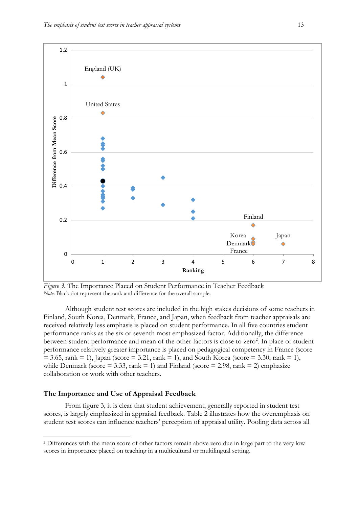

*Figure 3.* The Importance Placed on Student Performance in Teacher Feedback *Note*: Black dot represent the rank and difference for the overall sample.

Although student test scores are included in the high stakes decisions of some teachers in Finland, South Korea, Denmark, France, and Japan, when feedback from teacher appraisals are received relatively less emphasis is placed on student performance. In all five countries student performance ranks as the six or seventh most emphasized factor. Additionally, the difference between student performance and mean of the other factors is close to zero<sup>2</sup>. In place of student performance relatively greater importance is placed on pedagogical competency in France (score  $= 3.65$ , rank  $= 1$ ), Japan (score  $= 3.21$ , rank  $= 1$ ), and South Korea (score  $= 3.30$ , rank  $= 1$ ), while Denmark (score  $= 3.33$ , rank  $= 1$ ) and Finland (score  $= 2.98$ , rank  $= 2$ ) emphasize collaboration or work with other teachers.

### **The Importance and Use of Appraisal Feedback**

<u>.</u>

From figure 3, it is clear that student achievement, generally reported in student test scores, is largely emphasized in appraisal feedback. Table 2 illustrates how the overemphasis on student test scores can influence teachers' perception of appraisal utility. Pooling data across all

<sup>2</sup> Differences with the mean score of other factors remain above zero due in large part to the very low scores in importance placed on teaching in a multicultural or multilingual setting.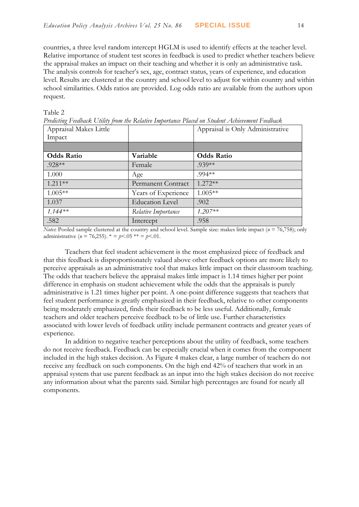countries, a three level random intercept HGLM is used to identify effects at the teacher level. Relative importance of student test scores in feedback is used to predict whether teachers believe the appraisal makes an impact on their teaching and whether it is only an administrative task. The analysis controls for teacher's sex, age, contract status, years of experience, and education level. Results are clustered at the country and school level to adjust for within country and within school similarities. Odds ratios are provided. Log odds ratio are available from the authors upon request.

| явг<br>r |  |
|----------|--|
|          |  |

*Predicting Feedback Utility from the Relative Importance Placed on Student Achievement Feedback*

| Appraisal Makes Little |                        | Appraisal is Only Administrative |
|------------------------|------------------------|----------------------------------|
| Impact                 |                        |                                  |
|                        |                        |                                  |
| <b>Odds Ratio</b>      | Variable               | <b>Odds Ratio</b>                |
| .928**                 | Female                 | $.939**$                         |
| 1.000                  | Age                    | .994**                           |
| $1.211**$              | Permanent Contract     | $1.272**$                        |
| $1.005**$              | Years of Experience    | $1.005**$                        |
| 1.037                  | <b>Education Level</b> | .902                             |
| $1.144**$              | Relative Importance    | $1.207**$                        |
| .582                   | Intercept              | .958                             |

*Notes*: Pooled sample clustered at the country and school level. Sample size: makes little impact (*n* = 76,758); only administrative ( $n = 76,255$ ).  $* = p < .05$   $** = p < .01$ .

Teachers that feel student achievement is the most emphasized piece of feedback and that this feedback is disproportionately valued above other feedback options are more likely to perceive appraisals as an administrative tool that makes little impact on their classroom teaching. The odds that teachers believe the appraisal makes little impact is 1.14 times higher per point difference in emphasis on student achievement while the odds that the appraisals is purely administrative is 1.21 times higher per point. A one-point difference suggests that teachers that feel student performance is greatly emphasized in their feedback, relative to other components being moderately emphasized, finds their feedback to be less useful. Additionally, female teachers and older teachers perceive feedback to be of little use. Further characteristics associated with lower levels of feedback utility include permanent contracts and greater years of experience.

In addition to negative teacher perceptions about the utility of feedback, some teachers do not receive feedback. Feedback can be especially crucial when it comes from the component included in the high stakes decision. As Figure 4 makes clear, a large number of teachers do not receive any feedback on such components. On the high end 42% of teachers that work in an appraisal system that use parent feedback as an input into the high stakes decision do not receive any information about what the parents said. Similar high percentages are found for nearly all components.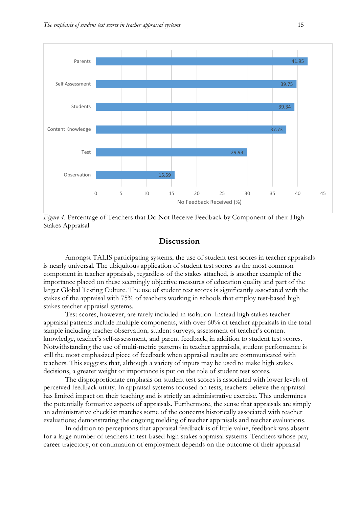

*Figure 4.* Percentage of Teachers that Do Not Receive Feedback by Component of their High Stakes Appraisal

### **Discussion**

Amongst TALIS participating systems, the use of student test scores in teacher appraisals is nearly universal. The ubiquitous application of student test scores as the most common component in teacher appraisals, regardless of the stakes attached, is another example of the importance placed on these seemingly objective measures of education quality and part of the larger Global Testing Culture. The use of student test scores is significantly associated with the stakes of the appraisal with 75% of teachers working in schools that employ test-based high stakes teacher appraisal systems.

Test scores, however, are rarely included in isolation. Instead high stakes teacher appraisal patterns include multiple components, with over 60% of teacher appraisals in the total sample including teacher observation, student surveys, assessment of teacher's content knowledge, teacher's self-assessment, and parent feedback, in addition to student test scores. Notwithstanding the use of multi-metric patterns in teacher appraisals, student performance is still the most emphasized piece of feedback when appraisal results are communicated with teachers. This suggests that, although a variety of inputs may be used to make high stakes decisions, a greater weight or importance is put on the role of student test scores.

The disproportionate emphasis on student test scores is associated with lower levels of perceived feedback utility. In appraisal systems focused on tests, teachers believe the appraisal has limited impact on their teaching and is strictly an administrative exercise. This undermines the potentially formative aspects of appraisals. Furthermore, the sense that appraisals are simply an administrative checklist matches some of the concerns historically associated with teacher evaluations; demonstrating the ongoing melding of teacher appraisals and teacher evaluations.

In addition to perceptions that appraisal feedback is of little value, feedback was absent for a large number of teachers in test-based high stakes appraisal systems. Teachers whose pay, career trajectory, or continuation of employment depends on the outcome of their appraisal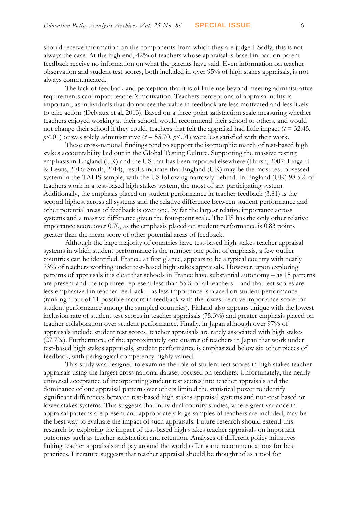should receive information on the components from which they are judged. Sadly, this is not always the case. At the high end, 42% of teachers whose appraisal is based in part on parent feedback receive no information on what the parents have said. Even information on teacher observation and student test scores, both included in over 95% of high stakes appraisals, is not always communicated.

The lack of feedback and perception that it is of little use beyond meeting administrative requirements can impact teacher's motivation. Teachers perceptions of appraisal utility is important, as individuals that do not see the value in feedback are less motivated and less likely to take action (Delvaux et al, 2013). Based on a three point satisfaction scale measuring whether teachers enjoyed working at their school, would recommend their school to others, and would not change their school if they could, teachers that felt the appraisal had little impact  $(t = 32.45,$ *p*<.01) or was solely administrative (*t* = 55.70, *p*<.01) were less satisfied with their work.

These cross-national findings tend to support the isomorphic march of test-based high stakes accountability laid out in the Global Testing Culture. Supporting the massive testing emphasis in England (UK) and the US that has been reported elsewhere (Hursh, 2007; Lingard & Lewis, 2016; Smith, 2014), results indicate that England (UK) may be the most test-obsessed system in the TALIS sample, with the US following narrowly behind. In England (UK) 98.5% of teachers work in a test-based high stakes system, the most of any participating system. Additionally, the emphasis placed on student performance in teacher feedback (3.81) is the second highest across all systems and the relative difference between student performance and other potential areas of feedback is over one, by far the largest relative importance across systems and a massive difference given the four-point scale. The US has the only other relative importance score over 0.70, as the emphasis placed on student performance is 0.83 points greater than the mean score of other potential areas of feedback.

Although the large majority of countries have test-based high stakes teacher appraisal systems in which student performance is the number one point of emphasis, a few outlier countries can be identified. France, at first glance, appears to be a typical country with nearly 73% of teachers working under test-based high stakes appraisals. However, upon exploring patterns of appraisals it is clear that schools in France have substantial autonomy – as 15 patterns are present and the top three represent less than 55% of all teachers – and that test scores are less emphasized in teacher feedback – as less importance is placed on student performance (ranking 6 out of 11 possible factors in feedback with the lowest relative importance score for student performance among the sampled countries). Finland also appears unique with the lowest inclusion rate of student test scores in teacher appraisals (75.3%) and greater emphasis placed on teacher collaboration over student performance. Finally, in Japan although over 97% of appraisals include student test scores, teacher appraisals are rarely associated with high stakes (27.7%). Furthermore, of the approximately one quarter of teachers in Japan that work under test-based high stakes appraisals, student performance is emphasized below six other pieces of feedback, with pedagogical competency highly valued.

This study was designed to examine the role of student test scores in high stakes teacher appraisals using the largest cross national dataset focused on teachers. Unfortunately, the nearly universal acceptance of incorporating student test scores into teacher appraisals and the dominance of one appraisal pattern over others limited the statistical power to identify significant differences between test-based high stakes appraisal systems and non-test based or lower stakes systems. This suggests that individual country studies, where great variance in appraisal patterns are present and appropriately large samples of teachers are included, may be the best way to evaluate the impact of such appraisals. Future research should extend this research by exploring the impact of test-based high stakes teacher appraisals on important outcomes such as teacher satisfaction and retention. Analyses of different policy initiatives linking teacher appraisals and pay around the world offer some recommendations for best practices. Literature suggests that teacher appraisal should be thought of as a tool for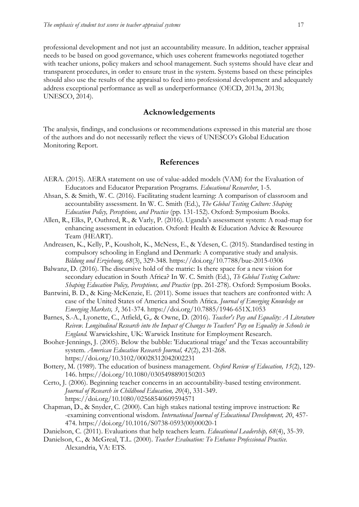professional development and not just an accountability measure. In addition, teacher appraisal needs to be based on good governance, which uses coherent frameworks negotiated together with teacher unions, policy makers and school management. Such systems should have clear and transparent procedures, in order to ensure trust in the system. Systems based on these principles should also use the results of the appraisal to feed into professional development and adequately address exceptional performance as well as underperformance (OECD, 2013a, 2013b; UNESCO, 2014).

## **Acknowledgements**

The analysis, findings, and conclusions or recommendations expressed in this material are those of the authors and do not necessarily reflect the views of UNESCO's Global Education Monitoring Report.

## **References**

- AERA. (2015). AERA statement on use of value-added models (VAM) for the Evaluation of Educators and Educator Preparation Programs. *Educational Researcher*, 1-5.
- Ahsan, S. & Smith, W. C. (2016). Facilitating student learning: A comparison of classroom and accountability assessment. In W. C. Smith (Ed.), *The Global Testing Culture: Shaping Education Policy, Perceptions, and Practice* (pp. 131-152). Oxford: Symposium Books.
- Allen, R., Elks, P, Outhred, R., & Varly, P. (2016). Uganda's assessment system: A road-map for enhancing assessment in education. Oxford: Health & Education Advice & Resource Team (HEART).
- Andreasen, K., Kelly, P., Kousholt, K., McNess, E., & Ydesen, C. (2015). Standardised testing in compulsory schooling in England and Denmark: A comparative study and analysis. *Bildung und Erziehung, 68*(3), 329-348.<https://doi.org/10.7788/bue-2015-0306>
- Balwanz, D. (2016). The discursive hold of the matric: Is there space for a new vision for secondary education in South Africa? In W. C. Smith (Ed.), *Th Global Testing Culture: Shaping Education Policy, Perceptions, and Practice* (pp. 261-278). Oxford: Symposium Books.
- Bantwini, B. D., & King-McKenzie, E. (2011). Some issues that teachers are confronted with: A case of the United States of America and South Africa. *Journal of Emerging Knowledge on Emerging Markets, 3*, 361-374. <https://doi.org/10.7885/1946-651X.1053>
- Barnes, S.-A., Lyonette, C., Atfield, G,. & Owne, D. (2016). *Teacher's Pay and Equality: A Literature Reivew. Longitudinal Research into the Impact of Changes to Teachers' Pay on Equality in Schools in England.* Warwickshire, UK: Warwick Institute for Employment Research.
- Booher-Jennings, J. (2005). Below the bubble: 'Educational triage' and the Texas accountability system. *American Education Research Journal, 42*(2), 231-268. <https://doi.org/10.3102/00028312042002231>
- Bottery, M. (1989). The education of business management. *Oxford Review of Education, 15*(2), 129- 146. <https://doi.org/10.1080/0305498890150203>
- Certo, J. (2006). Beginning teacher concerns in an accountability-based testing environment. *Journal of Research in Childhood Education, 20*(4), 331-349. <https://doi.org/10.1080/02568540609594571>
- Chapman, D., & Snyder, C. (2000). Can high stakes national testing improve instruction: Re -examining conventional wisdom. *International Journal of Educational Development, 20*, 457- 474. [https://doi.org/10.1016/S0738-0593\(00\)00020-1](https://doi.org/10.1016/S0738-0593(00)00020-1)
- Danielson, C. (2011). Evaluations that help teachers learn. *Educational Leadership, 68*(4), 35-39.
- Danielson, C., & McGreal, T.L. (2000). *Teacher Evaluation: To Enhance Professional Practice.* Alexandria, VA: ETS.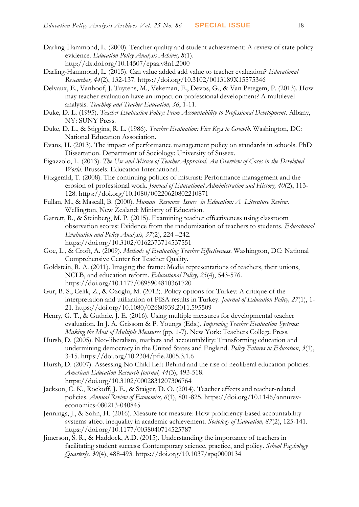- Darling-Hammond, L. (2000). Teacher quality and student achievement: A review of state policy evidence. *Education Policy Analysis Achives, 8*(1). http://dx.doi.org/10.14507/epaa.v8n1.2000
- Darling-Hammond, L. (2015). Can value added add value to teacher evaluation? *Educational Researcher, 44*(2), 132-137. <https://doi.org/10.3102/0013189X15575346>
- Delvaux, E., Vanhoof, J. Tuytens, M., Vekeman, E., Devos, G., & Van Petegem, P. (2013). How may teacher evaluation have an impact on professional development? A multilevel analysis. *Teaching and Teacher Education, 36*, 1-11.
- Duke, D. L. (1995). *Teacher Evaluation Policy: From Accountability to Professional Development*. Albany, NY: SUNY Press.
- Duke, D. L., & Stiggins, R. L. (1986). *Teacher Evaluation: Five Keys to Growth*. Washington, DC: National Education Association.
- Evans, H. (2013). The impact of performance management policy on standards in schools. PhD Dissertation. Department of Sociology: University of Sussex.
- Figazzolo, L. (2013). *The Use and Misuse of Teacher Appraisal. An Overview of Cases in the Developed World*. Brussels: Education International.
- Fitzgerald, T. (2008). The continuing politics of mistrust: Performance management and the erosion of professional work. *Journal of Educational Administration and History, 40*(2), 113- 128. <https://doi.org/10.1080/00220620802210871>
- Fullan, M., & Mascall, B. (2000). *Human Resource Issues in Education: A Literature Review*. Wellington, New Zealand: Ministry of Education.
- Garrett, R., & Steinberg, M. P. (2015). Examining teacher effectiveness using classroom observation scores: Evidence from the randomization of teachers to students. *Educational Evaluation and Policy Analysis, 37*(2), 224 –242. <https://doi.org/10.3102/0162373714537551>
- Goe, L., & Croft, A. (2009). *Methods of Evaluating Teacher Effectiveness*. Washington, DC: National Comprehensive Center for Teacher Quality.
- Goldstein, R. A. (2011). Imaging the frame: Media representations of teachers, their unions, NCLB, and education reform. *Educational Policy, 25*(4), 543-576. <https://doi.org/10.1177/0895904810361720>
- Gur, B. S., Celik, Z., & Ozoglu, M. (2012). Policy options for Turkey: A critique of the interpretation and utilization of PISA results in Turkey. *Journal of Education Policy, 27*(1), 1- 21. <https://doi.org/10.1080/02680939.2011.595509>
- Henry, G. T., & Guthrie, J. E. (2016). Using multiple measures for developmental teacher evaluation. In J. A. Grissom & P. Youngs (Eds.), *Improving Teacher Evaluation Systems: Making the Most of Multiple Measures* (pp. 1-7). New York: Teachers College Press.
- Hursh, D. (2005). Neo-liberalism, markets and accountability: Transforming education and undermining democracy in the United States and England. *Policy Futures in Education*, *3*(1), 3-15. <https://doi.org/10.2304/pfie.2005.3.1.6>
- Hursh, D. (2007). Assessing No Child Left Behind and the rise of neoliberal education policies. *American Education Research Journal, 44*(3), 493-518. <https://doi.org/10.3102/0002831207306764>
- Jackson, C. K., Rockoff, J. E., & Staiger, D. O. (2014). Teacher effects and teacher-related policies. *Annual Review of Economics, 6*(1), 801-825. [https://doi.org/10.1146/annurev](https://doi.org/10.1146/annurev-economics-080213-040845)[economics-080213-040845](https://doi.org/10.1146/annurev-economics-080213-040845)
- Jennings, J., & Sohn, H. (2016). Measure for measure: How proficiency-based accountability systems affect inequality in academic achievement. *Sociology of Education, 87*(2), 125-141. <https://doi.org/10.1177/0038040714525787>
- Jimerson, S. R., & Haddock, A.D. (2015). Understanding the importance of teachers in facilitating student success: Contemporary science, practice, and policy. *School Pscyhology Quarterly, 30*(4), 488-493. <https://doi.org/10.1037/spq0000134>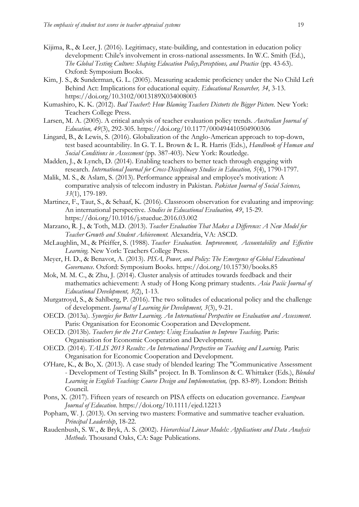- Kijima, R., & Leer, J. (2016). Legitimacy, state-building, and contestation in education policy development: Chile's involvement in cross-national assessments. In W.C. Smith (Ed.), *The Global Testing Culture: Shaping Education Policy,Perceptions, and Practice* (pp. 43-63). Oxford: Symposium Books.
- Kim, J. S., & Sunderman, G. L. (2005). Measuring academic proficiency under the No Child Left Behind Act: Implications for educational equity. *Educational Researcher, 34*, 3-13. <https://doi.org/10.3102/0013189X034008003>
- Kumashiro, K. K. (2012). *Bad Teacher!: How Blaming Teachers Distorts the Bigger Picture.* New York: Teachers College Press.
- Larsen, M. A. (2005). A critical analysis of teacher evaluation policy trends. *Australian Journal of Education, 49*(3), 292-305. <https://doi.org/10.1177/000494410504900306>
- Lingard, B., & Lewis, S. (2016). Globalization of the Anglo-American approach to top-down, test based acountability. In G. T. L. Brown & L. R. Harris (Eds.), *Handbook of Human and Social Conditions in Assessment* (pp. 387-403). New York: Routledge.
- Madden, J., & Lynch, D. (2014). Enabling teachers to better teach through engaging with research. *International Journal for Cross-Disciplinary Studies in Education, 5*(4), 1790-1797.
- Malik, M. S., & Aslam, S. (2013). Performance appraisal and employee's motivation: A comparative analysis of telecom industry in Pakistan. *Pakistan Journal of Social Sciences, 33*(1), 179-189.
- Martinez, F., Taut, S., & Schaaf, K. (2016). Classroom observation for evaluating and improving: An international perspective. *Studies in Educational Evaluation, 49*, 15-29. <https://doi.org/10.1016/j.stueduc.2016.03.002>
- Marzano, R. J., & Toth, M.D. (2013). *Teacher Evaluation That Makes a Difference: A New Model for Teacher Growth and Student Achievement.* Alexandria, VA: ASCD.
- McLaughlin, M., & Pfeiffer, S. (1988). *Teacher Evaluation. Improvement, Accountability and Effective Learning*. New York: Teachers College Press.
- Meyer, H. D., & Benavot, A. (2013). *PISA, Power, and Policy: The Emergence of Global Educational Governance*. Oxford: Symposium Books. <https://doi.org/10.15730/books.85>
- Mok, M. M. C., & Zhu, J. (2014). Cluster analysis of attitudes towards feedback and their mathematics achievement: A study of Hong Kong primary students. *Asia Paciic Journal of Educational Development, 3*(2), 1-13.
- Murgatroyd, S., & Sahlberg, P. (2016). The two solitudes of educational policy and the challenge of development. *Journal of Learning for Development, 3*(3), 9-21.
- OECD. (2013a). *Synergies for Better Learning. An International Perspective on Evaluation and Assessment*. Paris: Organisation for Economic Cooperation and Development.
- OECD. (2013b). *Teachers for the 21st Century: Using Evaluation to Improve Teaching*. Paris: Organisation for Economic Cooperation and Development.
- OECD. (2014). *TALIS 2013 Results: An International Perspective on Teaching and Learning*. Paris: Organisation for Economic Cooperation and Development.
- O'Hare, K., & Bo, X. (2013). A case study of blended learing: The "Communicative Assessment - Development of Testing Skills" project. In B. Tomlinson & C. Whittaker (Eds.), *Blended* Learning in English Teaching: Course Design and Implementation, (pp. 83-89). London: British Council.
- Pons, X. (2017). Fifteen years of research on PISA effects on education governance. *European Journal of Education.* <https://doi.org/10.1111/ejed.12213>
- Popham, W. J. (2013). On serving two masters: Formative and summative teacher evaluation. *Principal Leadership*, 18-22.
- Raudenbush, S. W., & Bryk, A. S. (2002). *Hierarchical Linear Models: Applications and Data Analysis Methods*. Thousand Oaks, CA: Sage Publications.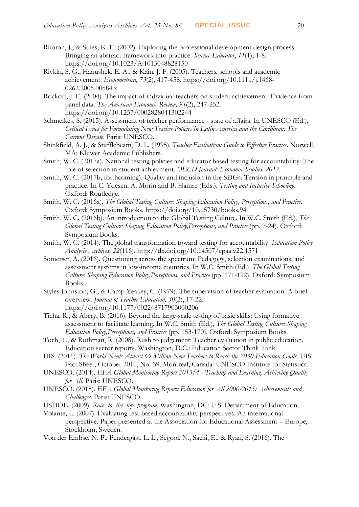- Rhoton, J., & Stiles, K. E. (2002). Exploring the professional development design process: Bringing an abstract framework into practice. *Science Educator*, *11*(1), 1-8. <https://doi.org/10.1023/A:1013048828150>
- Rivkin, S. G., Hanushek, E. A., & Kain, J. F. (2005). Teachers, schools and academic achievement. *Econometrica, 73*(2), 417-458. [https://doi.org/10.1111/j.1468-](https://doi.org/10.1111/j.1468-0262.2005.00584.x) [0262.2005.00584.x](https://doi.org/10.1111/j.1468-0262.2005.00584.x)
- Rockoff, J. E. (2004). The impact of individual teachers on student achievement: Evidence from panel data. *The American Economic Review, 94*(2), 247-252. <https://doi.org/10.1257/0002828041302244>
- Schmelkes, S. (2015). Assessment of teacher performance state of affairs. In UNESCO (Ed.), *Critical Issues for Formulating New Teacher Policies in Latin America and the Caribbean: The Current Debate*. Paris: UNESCO.
- Shinkfield, A. J., & Stufflebeam, D. L. (1995). *Teacher Evaluation: Guide to Effective Practice*. Norwell, MA: Kluwer Academic Publishers.
- Smith, W. C. (2017a). National testing policies and educator based testing for accountability: The role of selection in student achievment. *OECD Journal: Economic Studies, 2017.*
- Smith, W. C. (2017b, forthcoming). Quality and inclusion in the SDGs: Tension in principle and practice. In C. Ydesen, A. Morin and B. Hamre (Eds.), *Testing and Inclusive Schooling*. Oxford: Routledge.
- Smith, W. C. (2016a). *The Global Testing Culture: Shaping Education Policy, Perceptions, and Practice*. Oxford: Symposium Books. <https://doi.org/10.15730/books.94>
- Smith, W. C. (2016b). An introduction to the Global Testing Culture. In W.C. Smith (Ed.), *The Global Testing Culture: Shaping Education Policy,Perceptions, and Practice* (pp. 7-24). Oxford: Symposium Books.
- Smith, W. C. (2014). The global transformation toward testing for accountability. *Education Policy Analysis Archives, 22*(116). http://dx.doi.org/10.14507/epaa.v22.1571
- Somerset, A. (2016). Questioning across the spectrum: Pedagogy, selection examinations, and assessment systems in low-income countries. In W.C. Smith (Ed.), *The Global Testing Culture: Shaping Education Policy,Perceptions, and Practice* (pp. 171-192). Oxford: Symposium Books.
- Styles Johnston, G., & Camp Yeakey, C. (1979). The supervision of teacher evaluation: A brief overview. *Journal of Teacher Education, 30*(2), 17-22. <https://doi.org/10.1177/002248717903000206>
- Ticha, R., & Abery, B. (2016). Beyond the large-scale testing of basic skills: Using formative assessment to facilitate learning. In W.C. Smith (Ed.), *The Global Testing Culture: Shaping Education Policy,Perceptions, and Practice* (pp. 153-170). Oxford: Symposium Books.
- Toch, T., & Rothman, R. (2008). Rush to judgement: Teacher evaluation in public education. Education sector reports. Washington, D.C.: Education Sector Think Tank.
- UIS. (2016). *The World Needs Almost 69 Million New Teachers to Reach the 2030 Education Goals*. UIS Fact Sheet, October 2016, No. 39. Montreal, Canada: UNESCO Institute for Statistics.
- UNESCO. (2014). *EFA Global Monitoring Report 2013/4 - Teaching and Learning: Achieving Quality for All*. Paris: UNESCO.
- UNESCO. (2015). *EFA Global Monitoring Report: Education for All 2000-2015: Achievements and Challenges*. Paris: UNESCO.
- USDOE. (2009). *Race to the top program*. Washington, DC: U.S. Department of Education.
- Volante, L. (2007). Evaluating test-based accountability perspectives: An international perspective. Paper presented at the Association for Educational Assessment – Europe, Stockholm, Sweden.
- Von der Embse, N. P., Pendergast, L. L., Segool, N., Saeki, E., & Ryan, S. (2016). The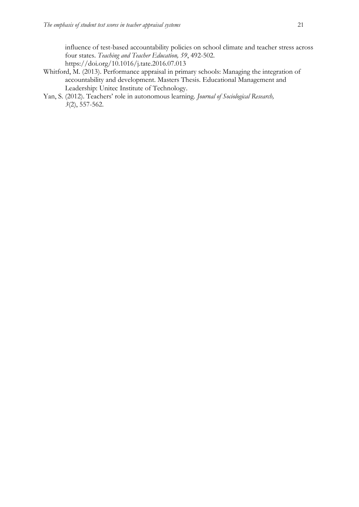influence of test-based accountability policies on school climate and teacher stress across four states. *Teaching and Teacher Education, 59*, 492-502. <https://doi.org/10.1016/j.tate.2016.07.013>

- Whitford, M. (2013). Performance appraisal in primary schools: Managing the integration of accountability and development. Masters Thesis. Educational Management and Leadership: Unitec Institute of Technology.
- Yan, S. (2012). Teachers' role in autonomous learning. *Journal of Sociological Research, 3*(2), 557-562.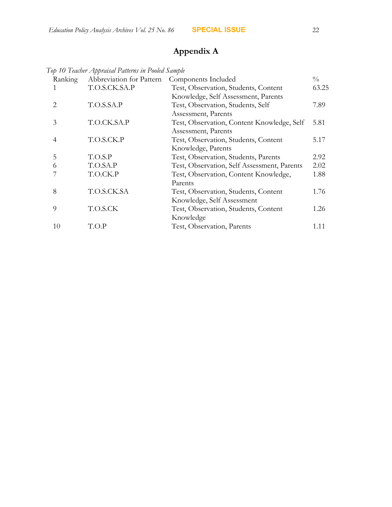# **Appendix A**

*Top 10 Teacher Appraisal Patterns in Pooled Sample*

| Ranking               | Abbreviation for Pattern | Components Included                         | $\frac{0}{0}$ |
|-----------------------|--------------------------|---------------------------------------------|---------------|
|                       | T.O.S.CK.SA.P            | Test, Observation, Students, Content        | 63.25         |
|                       |                          | Knowledge, Self Assessment, Parents         |               |
| $\mathcal{D}_{\cdot}$ | T.O.S.SA.P               | Test, Observation, Students, Self           | 7.89          |
|                       |                          | Assessment, Parents                         |               |
| 3                     | T.O.CK.SA.P              | Test, Observation, Content Knowledge, Self  | 5.81          |
|                       |                          | Assessment, Parents                         |               |
| 4                     | T.O.S.CK.P               | Test, Observation, Students, Content        | 5.17          |
|                       |                          | Knowledge, Parents                          |               |
| 5                     | T.O.S.P                  | Test, Observation, Students, Parents        | 2.92          |
| 6                     | T.O.SA.P                 | Test, Observation, Self Assessment, Parents | 2.02          |
|                       | T.O.CK.P                 | Test, Observation, Content Knowledge,       | 1.88          |
|                       |                          | Parents                                     |               |
| 8                     | T.O.S.CK.SA              | Test, Observation, Students, Content        | 1.76          |
|                       |                          | Knowledge, Self Assessment                  |               |
| 9                     | T.O.S.CK                 | Test, Observation, Students, Content        | 1.26          |
|                       |                          | Knowledge                                   |               |
| 10                    | T.O.P                    | Test, Observation, Parents                  | 1.11          |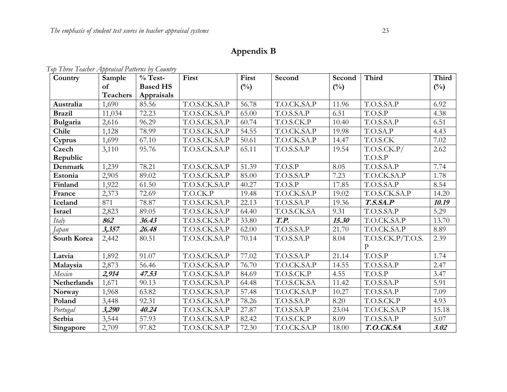# **Appendix B**

|  | Top Three Teacher Appraisal Patterns by Country |  |  |
|--|-------------------------------------------------|--|--|
|  |                                                 |  |  |

| Country            | Sample          | $%$ Test-       | First         | First         | Second      | Second | Third             | Third         |
|--------------------|-----------------|-----------------|---------------|---------------|-------------|--------|-------------------|---------------|
|                    | of              | <b>Based HS</b> |               | $(^{0}/_{0})$ |             | $(\%)$ |                   | $(^{0}/_{0})$ |
|                    | <b>Teachers</b> | Appraisals      |               |               |             |        |                   |               |
| Australia          | 1,690           | 85.56           | T.O.S.CK.SA.P | 56.78         | T.O.CK.SA.P | 11.96  | T.O.S.SA.P        | 6.92          |
| <b>Brazil</b>      | 11,034          | 72.23           | T.O.S.CK.SA.P | 65.00         | T.O.S.SA.P  | 6.51   | T.O.S.P           | 4.38          |
| Bulgaria           | 2,616           | 96.29           | T.O.S.CK.SA.P | 60.74         | T.O.S.CK.P  | 10.40  | T.O.S.SA.P        | 6.51          |
| Chile              | 1,128           | 78.99           | T.O.S.CK.SA.P | 54.55         | T.O.CK.SA.P | 19.98  | T.O.SA.P          | 4.43          |
| Cyprus             | 1,699           | 67.10           | T.O.S.CK.SA.P | 50.61         | T.O.CK.SA.P | 14.47  | T.O.S.CK          | 7.02          |
| Czech              | 3,110           | 95.76           | T.O.S.CK.SA.P | 65.11         | T.O.S.SA.P  | 19.54  | T.O.S.CK.P/       | 2.62          |
| Republic           |                 |                 |               |               |             |        | T.O.S.P           |               |
| Denmark            | 1,239           | 78.21           | T.O.S.CK.SA.P | 51.39         | T.O.S.P     | 8.05   | T.O.S.SA.P        | 7.74          |
| Estonia            | 2,905           | 89.02           | T.O.S.CK.SA.P | 85.00         | T.O.S.SA.P  | 7.23   | T.O.CK.SA.P       | 1.78          |
| Finland            | 1,922           | 61.50           | T.O.S.CK.SA.P | 40.27         | T.O.S.P     | 17.85  | T.O.S.SA.P        | 8.54          |
| France             | 2,373           | 72.69           | T.O.CK.P      | 19.48         | T.O.CK.SA.P | 19.02  | T.O.S.CK.SA.P     | 14.20         |
| Iceland            | 871             | 78.87           | T.O.S.CK.SA.P | 22.13         | T.O.S.SA.P  | 19.36  | T.S.S.A.P         | 10.19         |
| <b>Israel</b>      | 2,823           | 89.05           | T.O.S.CK.SA.P | 64.40         | T.O.S.CK.SA | 9.31   | T.O.S.SA.P        | 5.29          |
| Italy              | 862             | 36.43           | T.O.S.CK.SA.P | 33.80         | T.P.        | 15.30  | T.O.CK.SA.P       | 13.70         |
| Japan              | 3,357           | 26.48           | T.O.S.CK.SA.P | 62.00         | T.O.S.SA.P  | 21.70  | T.O.CK.SA.P       | 8.89          |
| South Korea        | 2,442           | 80.51           | T.O.S.CK.SA.P | 70.14         | T.O.S.SA.P  | 8.04   | T.O.S.CK.P/T.O.S. | 2.39          |
|                    |                 |                 |               |               |             |        | $\mathbf{P}$      |               |
| Latvia             | 1,892           | 91.07           | T.O.S.CK.SA.P | 77.02         | T.O.S.SA.P  | 21.14  | T.O.S.P           | 1.74          |
| Malaysia           | 2,873           | 56.46           | T.O.S.CK.SA.P | 76.70         | T.O.CK.SA.P | 14.55  | T.O.S.SA.P        | 2.47          |
| Mexico             | 2,914           | 47.53           | T.O.S.CK.SA.P | 84.69         | T.O.S.CK.P  | 4.55   | T.O.S.P           | 3.47          |
| <b>Netherlands</b> | 1,671           | 90.13           | T.O.S.CK.SA.P | 64.48         | T.O.S.CK.SA | 11.42  | T.O.S.SA.P        | 5.91          |
| Norway             | 1,968           | 63.82           | T.O.S.CK.SA.P | 57.48         | T.O.CK.SA.P | 10.27  | T.O.S.SA.P        | 7.09          |
| Poland             | 3,448           | 92.31           | T.O.S.CK.SA.P | 78.26         | T.O.S.SA.P  | 8.20   | T.O.S.CK.P        | 4.93          |
| Portugal           | 3,290           | 40.24           | T.O.S.CK.SA.P | 27.87         | T.O.S.SA.P  | 23.04  | T.O.CK.SA.P       | 15.18         |
| Serbia             | 3,544           | 57.93           | T.O.S.CK.SA.P | 82.42         | T.O.S.CK.P  | 8.09   | T.O.S.SA.P        | 5.07          |
| Singapore          | 2,709           | 97.82           | T.O.S.CK.SA.P | 72.30         | T.O.CK.SA.P | 18.00  | T.O.CK.SA         | 3.02          |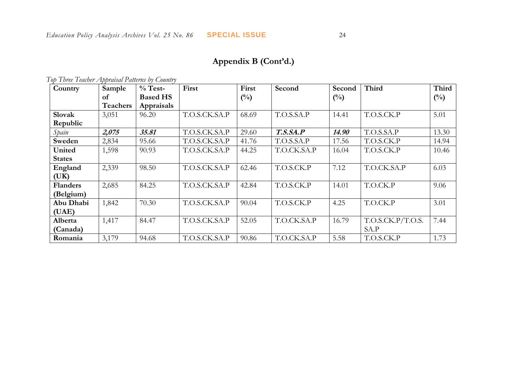## **Appendix B (Cont'd.)**

| Country         | Sample          | $\%$ Test-      | First         | First  | Second      | Second         | <b>Third</b>      | Third          |
|-----------------|-----------------|-----------------|---------------|--------|-------------|----------------|-------------------|----------------|
|                 | of              | <b>Based HS</b> |               | $(\%)$ |             | $\binom{0}{0}$ |                   | $\binom{0}{0}$ |
|                 | <b>Teachers</b> | Appraisals      |               |        |             |                |                   |                |
| Slovak          | 3,051           | 96.20           | T.O.S.CK.SA.P | 68.69  | T.O.S.SA.P  | 14.41          | T.O.S.CK.P        | 5.01           |
| Republic        |                 |                 |               |        |             |                |                   |                |
| Spain           | 2,075           | 35.81           | T.O.S.CK.SA.P | 29.60  | T.S.S.A.P   | 14.90          | T.O.S.SA.P        | 13.30          |
| Sweden          | 2,834           | 95.66           | T.O.S.CK.SA.P | 41.76  | T.O.S.SA.P  | 17.56          | T.O.S.CK.P        | 14.94          |
| United          | 1,598           | 90.93           | T.O.S.CK.SA.P | 44.25  | T.O.CK.SA.P | 16.04          | T.O.S.CK.P        | 10.46          |
| <b>States</b>   |                 |                 |               |        |             |                |                   |                |
| England         | 2,339           | 98.50           | T.O.S.CK.SA.P | 62.46  | T.O.S.CK.P  | 7.12           | T.O.CK.SA.P       | 6.03           |
| (UK)            |                 |                 |               |        |             |                |                   |                |
| <b>Flanders</b> | 2,685           | 84.25           | T.O.S.CK.SA.P | 42.84  | T.O.S.CK.P  | 14.01          | T.O.CK.P          | 9.06           |
| (Belgium)       |                 |                 |               |        |             |                |                   |                |
| Abu Dhabi       | 1,842           | 70.30           | T.O.S.CK.SA.P | 90.04  | T.O.S.CK.P  | 4.25           | T.O.CK.P          | 3.01           |
| (UAE)           |                 |                 |               |        |             |                |                   |                |
| Alberta         | 1,417           | 84.47           | T.O.S.CK.SA.P | 52.05  | T.O.CK.SA.P | 16.79          | T.O.S.CK.P/T.O.S. | 7.44           |
| (Canada)        |                 |                 |               |        |             |                | SA.P              |                |
| Romania         | 3,179           | 94.68           | T.O.S.CK.SA.P | 90.86  | T.O.CK.SA.P | 5.58           | T.O.S.CK.P        | 1.73           |

*Top Three Teacher Appraisal Patterns by Country*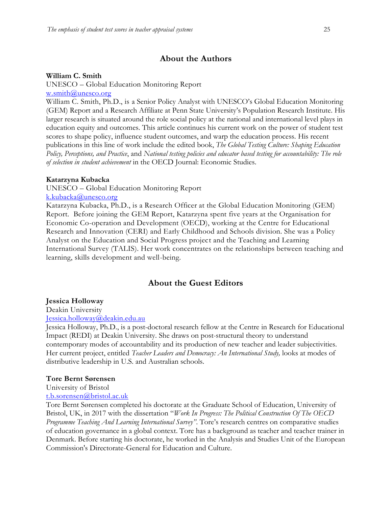### **About the Authors**

#### **William C. Smith**

UNESCO – Global Education Monitoring Report

[w.smith@unesco.org](mailto:w.smith@unesco.org)

William C. Smith, Ph.D., is a Senior Policy Analyst with UNESCO's Global Education Monitoring (GEM) Report and a Research Affiliate at Penn State University's Population Research Institute. His larger research is situated around the role social policy at the national and international level plays in education equity and outcomes. This article continues his current work on the power of student test scores to shape policy, influence student outcomes, and warp the education process. His recent publications in this line of work include the edited book, *The Global Testing Culture: Shaping Education Policy, Perceptions, and Practice*, and *National testing policies and educator based testing for accountability: The role of selection in student achievement* in the OECD Journal: Economic Studies.

### **Katarzyna Kubacka**

UNESCO – Global Education Monitoring Report

[k.kubacka@unesco.org](mailto:k.kubacka@unesco.org)

Katarzyna Kubacka, Ph.D., is a Research Officer at the Global Education Monitoring (GEM) Report. Before joining the GEM Report, Katarzyna spent five years at the Organisation for Economic Co-operation and Development (OECD), working at the Centre for Educational Research and Innovation (CERI) and Early Childhood and Schools division. She was a Policy Analyst on the Education and Social Progress project and the Teaching and Learning International Survey (TALIS). Her work concentrates on the relationships between teaching and learning, skills development and well-being.

## **About the Guest Editors**

### **Jessica Holloway**

Deakin University

[Jessica.holloway@deakin.edu.au](mailto:Jessica.holloway@deakin.edu.au)

Jessica Holloway, Ph.D., is a post-doctoral research fellow at the Centre in Research for Educational Impact (REDI) at Deakin University. She draws on post-structural theory to understand contemporary modes of accountability and its production of new teacher and leader subjectivities. Her current project, entitled *Teacher Leaders and Democracy: An International Study,* looks at modes of distributive leadership in U.S. and Australian schools.

#### **Tore Bernt Sørensen**

University of Bristol

### [t.b.sorensen@bristol.ac.uk](mailto:t.b.sorensen@bristol.ac.uk)

Tore Bernt Sørensen completed his doctorate at the Graduate School of Education, University of Bristol, UK, in 2017 with the dissertation "*Work In Progress: The Political Construction Of The OECD Programme Teaching And Learning International Survey"*. Tore's research centres on comparative studies of education governance in a global context. Tore has a background as teacher and teacher trainer in Denmark. Before starting his doctorate, he worked in the Analysis and Studies Unit of the European Commission's Directorate-General for Education and Culture.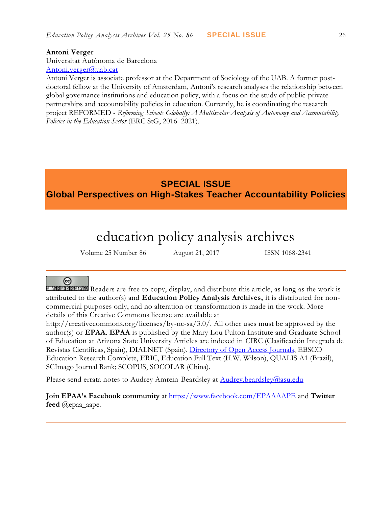### **Antoni Verger**

Universitat Autònoma de Barcelona [Antoni.verger@uab.cat](mailto:Antoni.verger@uab.cat)

Antoni Verger is associate professor at the Department of Sociology of the UAB. A former postdoctoral fellow at the University of Amsterdam, Antoni's research analyses the relationship between global governance institutions and education policy, with a focus on the study of public-private partnerships and accountability policies in education. Currently, he is coordinating the research project REFORMED - *Reforming Schools Globally: A Multiscalar Analysis of Autonomy and Accountability Policies in the Education Sector* (ERC StG, 2016–2021).

## **SPECIAL ISSUE Global Perspectives on High-Stakes Teacher Accountability Policies**

# education policy analysis archives

Volume 25 Number 86 August 21, 2017 ISSN 1068-2341

## ര

SOME RIGHTS RESERVED Readers are free to copy, display, and distribute this article, as long as the work is attributed to the author(s) and **Education Policy Analysis Archives,** it is distributed for noncommercial purposes only, and no alteration or transformation is made in the work. More details of this Creative Commons license are available at

http://creativecommons.org/licenses/by-nc-sa/3.0/. All other uses must be approved by the author(s) or **EPAA**. **EPAA** is published by the Mary Lou Fulton Institute and Graduate School of Education at Arizona State University Articles are indexed in CIRC (Clasificación Integrada de Revistas Científicas, Spain), DIALNET (Spain), [Directory of Open Access Journals,](http://www.doaj.org/) EBSCO Education Research Complete, ERIC, Education Full Text (H.W. Wilson), QUALIS A1 (Brazil), SCImago Journal Rank; SCOPUS, SOCOLAR (China).

Please send errata notes to Audrey Amrein-Beardsley at [Audrey.beardsley@asu.edu](mailto:Audrey.beardsley@asu.edu)

**Join EPAA's Facebook community** at<https://www.facebook.com/EPAAAAPE> and **Twitter feed** @epaa\_aape.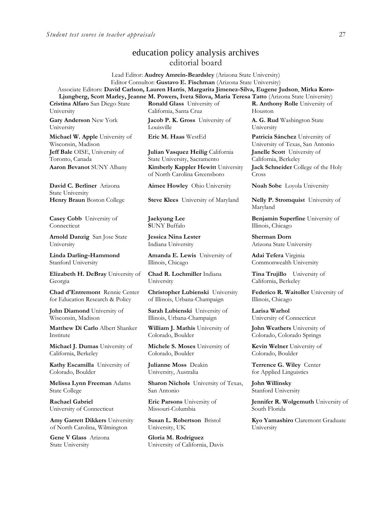## education policy analysis archives editorial board

Lead Editor: **Audrey Amrein-Beardsley** (Arizona State University) Editor Consultor: **Gustavo E. Fischman** (Arizona State University) Associate Editors: **David Carlson, Lauren Harris**, **Margarita Jimenez-Silva, Eugene Judson**, **Mirka Koro-Ljungberg, Scott Marley, Jeanne M. Powers, Iveta Silova, Maria Teresa Tatto** (Arizona State University)

**Cristina Alfaro** San Diego State University

**Gary Anderson** New York University

**Michael W. Apple** University of Wisconsin, Madison **Jeff Bale** OISE, University of Toronto, Canada

**David C. Berliner** Arizona State University

**Casey Cobb** University of **Connecticut** 

**Arnold Danzig** San Jose State University

**Linda Darling-Hammond**  Stanford University

**Elizabeth H. DeBray** University of Georgia

**Chad d'Entremont** Rennie Center for Education Research & Policy

**John Diamond** University of Wisconsin, Madison

**Matthew Di Carlo** Albert Shanker Institute

**Michael J. Dumas** University of California, Berkeley

**Kathy Escamilla** University of Colorado, Boulder

**Melissa Lynn Freeman** Adams State College

**Rachael Gabriel** University of Connecticut

**Amy Garrett Dikkers** University of North Carolina, Wilmington

**Gene V Glass** Arizona State University

**Ronald Glass** University of California, Santa Cruz

**Jacob P. K. Gross** University of Louisville

**Julian Vasquez Heilig** California State University, Sacramento **Aaron Bevanot** SUNY Albany **Kimberly Kappler Hewitt** University of North Carolina Greensboro

**Aimee Howley** Ohio University **Noah Sobe** Loyola University

**Henry Braun** Boston College **Steve Klees** University of Maryland **Nelly P. Stromquist** University of

**Jaekyung Lee S**UNY Buffalo

**Jessica Nina Lester** Indiana University

**Amanda E. Lewis** University of Illinois, Chicago

**Chad R. Lochmiller** Indiana University

**Christopher Lubienski** University of Illinois, Urbana-Champaign

**Sarah Lubienski** University of Illinois, Urbana-Champaign

**William J. Mathis** University of Colorado, Boulder

**Michele S. Moses** University of Colorado, Boulder

**Julianne Moss** Deakin University, Australia

**Sharon Nichols** University of Texas, San Antonio

**Eric Parsons** University of Missouri-Columbia

**Susan L. Robertson** Bristol University, UK

**Gloria M. Rodriguez** University of California, Davis

**R. Anthony Rolle** University of Houston

**A. G. Rud** Washington State University

**Eric M. Haas** WestEd **Patricia Sánchez** University of University of Texas, San Antonio **Janelle Scott** University of California, Berkeley **Jack Schneider** College of the Holy Cross

Maryland

**Benjamin Superfine** University of Illinois, Chicago

**Sherman Dorn**  Arizona State University

**Adai Tefera** Virginia Commonwealth University

**Tina Trujillo** University of California, Berkeley

**Federico R. Waitoller** University of Illinois, Chicago

**Larisa Warhol** University of Connecticut

**John Weathers** University of Colorado, Colorado Springs

**Kevin Welner** University of Colorado, Boulder

**Terrence G. Wiley** Center for Applied Linguistics

**John Willinsky**  Stanford University

**Jennifer R. Wolgemuth** University of South Florida

**Kyo Yamashiro** Claremont Graduate University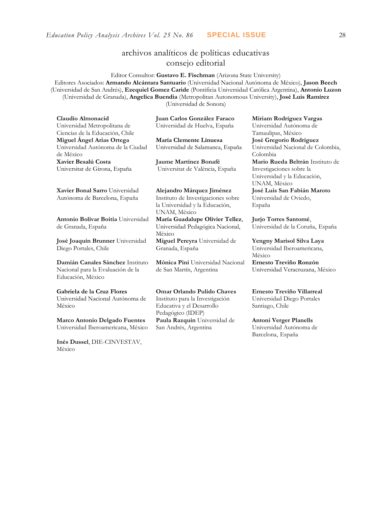## archivos analíticos de políticas educativas consejo editorial

Editor Consultor: **Gustavo E. Fischman** (Arizona State University) Editores Asociados: **Armando Alcántara Santuario** (Universidad Nacional Autónoma de México), **Jason Beech** (Universidad de San Andrés), **Ezequiel Gomez Caride** (Pontificia Universidad Católica Argentina), **Antonio Luzon** (Universidad de Granada), **Angelica Buendia** (Metropolitan Autonomous University), **José Luis Ramírez** (Universidad de Sonora)

| Claudio Almonacid                                               | Juan Carlos González Faraco                    | Miriam Rodríguez Vargas                       |
|-----------------------------------------------------------------|------------------------------------------------|-----------------------------------------------|
| Universidad Metropolitana de<br>Ciencias de la Educación, Chile | Universidad de Huelva, España                  | Universidad Autónoma de<br>Tamaulipas, México |
| Miguel Ángel Arias Ortega                                       | María Clemente Linuesa                         | José Gregorio Rodríguez                       |
| Universidad Autónoma de la Ciudad<br>de México                  | Universidad de Salamanca, España               | Universidad Nacional de Colombia,<br>Colombia |
| Xavier Besalú Costa                                             | Jaume Martínez Bonafé                          | Mario Rueda Beltrán Instituto de              |
| Universitat de Girona, España                                   | Universitat de València, España                | Investigaciones sobre la                      |
|                                                                 |                                                | Universidad y la Educación,<br>UNAM, México   |
| Xavier Bonal Sarro Universidad                                  | Alejandro Márquez Jiménez                      | José Luis San Fabián Maroto                   |
| Autónoma de Barcelona, España                                   | Instituto de Investigaciones sobre             | Universidad de Oviedo,                        |
|                                                                 | la Universidad y la Educación,                 | España                                        |
|                                                                 | UNAM, México                                   |                                               |
| Antonio Bolívar Boitia Universidad                              | María Guadalupe Olivier Tellez,                | Jurjo Torres Santomé,                         |
| de Granada, España                                              | Universidad Pedagógica Nacional,<br>México     | Universidad de la Coruña, España              |
| José Joaquín Brunner Universidad                                | Miguel Pereyra Universidad de                  | Yengny Marisol Silva Laya                     |
| Diego Portales, Chile                                           | Granada, España                                | Universidad Iberoamericana,<br>México         |
| Damián Canales Sánchez Instituto                                | Mónica Pini Universidad Nacional               | Ernesto Treviño Ronzón                        |
| Nacional para la Evaluación de la<br>Educación, México          | de San Martín, Argentina                       | Universidad Veracruzana, México               |
| Gabriela de la Cruz Flores                                      | <b>Omar Orlando Pulido Chaves</b>              | Ernesto Treviño Villarreal                    |
| Universidad Nacional Autónoma de                                | Instituto para la Investigación                | Universidad Diego Portales                    |
| México                                                          | Educativa y el Desarrollo<br>Pedagógico (IDEP) | Santiago, Chile                               |
| <b>Marco Antonio Delgado Fuentes</b>                            | Paula Razquin Universidad de                   | <b>Antoni Verger Planells</b>                 |

San Andrés, Argentina

**[Inés Dussel](javascript:openRTWindow()**, DIE-CINVESTAV,

Universidad Iberoamericana, México

México

Universidad Autónoma de Barcelona, España